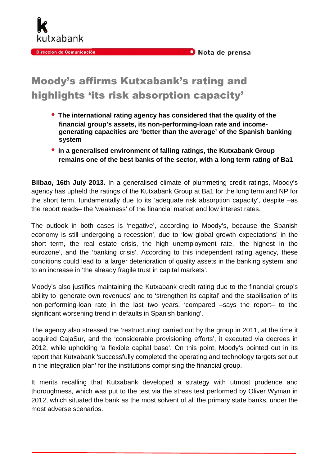

## Moody's affirms Kutxabank's rating and highlights 'its risk absorption capacity'

kutxabank

Dirección de Comunicación

- **The international rating agency has considered that the quality of the financial group's assets, its non-performing-loan rate and incomegenerating capacities are 'better than the average' of the Spanish banking system**
- **In a generalised environment of falling ratings, the Kutxabank Group remains one of the best banks of the sector, with a long term rating of Ba1**

**Bilbao, 16th July 2013.** In a generalised climate of plummeting credit ratings, Moody's agency has upheld the ratings of the Kutxabank Group at Ba1 for the long term and NP for the short term, fundamentally due to its 'adequate risk absorption capacity', despite –as the report reads– the 'weakness' of the financial market and low interest rates.

The outlook in both cases is 'negative', according to Moody's, because the Spanish economy is still undergoing a recession', due to 'low global growth expectations' in the short term, the real estate crisis, the high unemployment rate, 'the highest in the eurozone', and the 'banking crisis'. According to this independent rating agency, these conditions could lead to 'a larger deterioration of quality assets in the banking system' and to an increase in 'the already fragile trust in capital markets'.

Moody's also justifies maintaining the Kutxabank credit rating due to the financial group's ability to 'generate own revenues' and to 'strengthen its capital' and the stabilisation of its non-performing-loan rate in the last two years, 'compared –says the report– to the significant worsening trend in defaults in Spanish banking'.

The agency also stressed the 'restructuring' carried out by the group in 2011, at the time it acquired CajaSur, and the 'considerable provisioning efforts', it executed via decrees in 2012, while upholding 'a flexible capital base'. On this point, Moody's pointed out in its report that Kutxabank 'successfully completed the operating and technology targets set out in the integration plan' for the institutions comprising the financial group.

It merits recalling that Kutxabank developed a strategy with utmost prudence and thoroughness, which was put to the test via the stress test performed by Oliver Wyman in 2012, which situated the bank as the most solvent of all the primary state banks, under the most adverse scenarios.